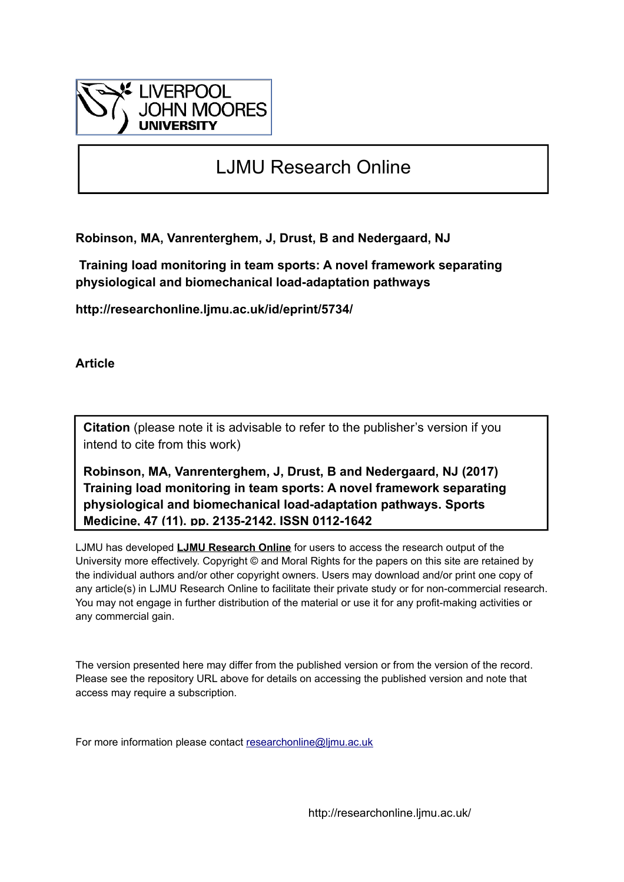

# LJMU Research Online

**Robinson, MA, Vanrenterghem, J, Drust, B and Nedergaard, NJ**

 **Training load monitoring in team sports: A novel framework separating physiological and biomechanical load-adaptation pathways**

**http://researchonline.ljmu.ac.uk/id/eprint/5734/**

**Article**

**Citation** (please note it is advisable to refer to the publisher's version if you intend to cite from this work)

**Robinson, MA, Vanrenterghem, J, Drust, B and Nedergaard, NJ (2017) Training load monitoring in team sports: A novel framework separating physiological and biomechanical load-adaptation pathways. Sports Medicine, 47 (11). pp. 2135-2142. ISSN 0112-1642** 

LJMU has developed **[LJMU Research Online](http://researchonline.ljmu.ac.uk/)** for users to access the research output of the University more effectively. Copyright © and Moral Rights for the papers on this site are retained by the individual authors and/or other copyright owners. Users may download and/or print one copy of any article(s) in LJMU Research Online to facilitate their private study or for non-commercial research. You may not engage in further distribution of the material or use it for any profit-making activities or any commercial gain.

The version presented here may differ from the published version or from the version of the record. Please see the repository URL above for details on accessing the published version and note that access may require a subscription.

For more information please contact [researchonline@ljmu.ac.uk](mailto:researchonline@ljmu.ac.uk)

http://researchonline.ljmu.ac.uk/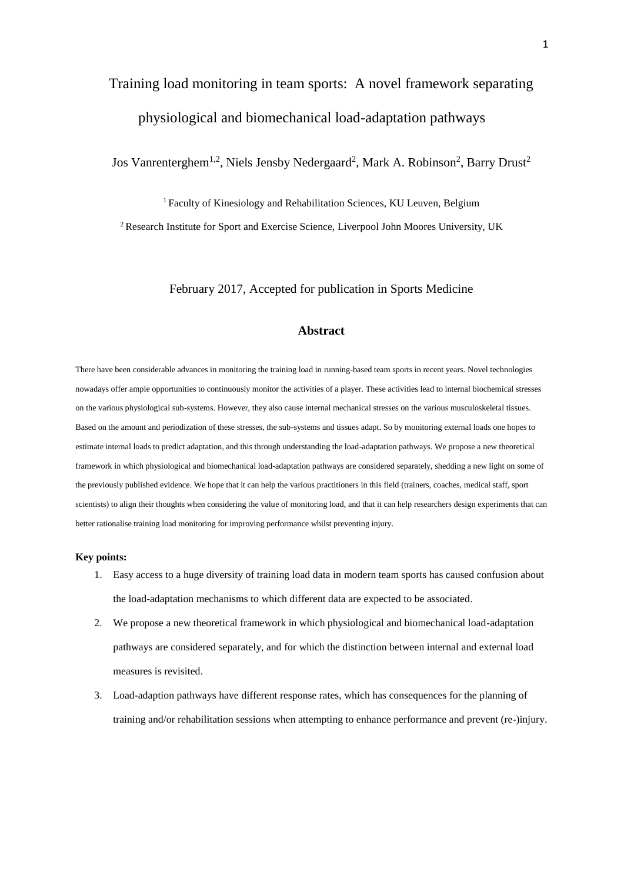# Training load monitoring in team sports: A novel framework separating physiological and biomechanical load-adaptation pathways

Jos Vanrenterghem<sup>1,2</sup>, Niels Jensby Nedergaard<sup>2</sup>, Mark A. Robinson<sup>2</sup>, Barry Drust<sup>2</sup>

<sup>1</sup> Faculty of Kinesiology and Rehabilitation Sciences, KU Leuven, Belgium <sup>2</sup> Research Institute for Sport and Exercise Science, Liverpool John Moores University, UK

February 2017, Accepted for publication in Sports Medicine

### **Abstract**

There have been considerable advances in monitoring the training load in running-based team sports in recent years. Novel technologies nowadays offer ample opportunities to continuously monitor the activities of a player. These activities lead to internal biochemical stresses on the various physiological sub-systems. However, they also cause internal mechanical stresses on the various musculoskeletal tissues. Based on the amount and periodization of these stresses, the sub-systems and tissues adapt. So by monitoring external loads one hopes to estimate internal loads to predict adaptation, and this through understanding the load-adaptation pathways. We propose a new theoretical framework in which physiological and biomechanical load-adaptation pathways are considered separately, shedding a new light on some of the previously published evidence. We hope that it can help the various practitioners in this field (trainers, coaches, medical staff, sport scientists) to align their thoughts when considering the value of monitoring load, and that it can help researchers design experiments that can better rationalise training load monitoring for improving performance whilst preventing injury.

#### **Key points:**

- 1. Easy access to a huge diversity of training load data in modern team sports has caused confusion about the load-adaptation mechanisms to which different data are expected to be associated.
- 2. We propose a new theoretical framework in which physiological and biomechanical load-adaptation pathways are considered separately, and for which the distinction between internal and external load measures is revisited.
- 3. Load-adaption pathways have different response rates, which has consequences for the planning of training and/or rehabilitation sessions when attempting to enhance performance and prevent (re-)injury.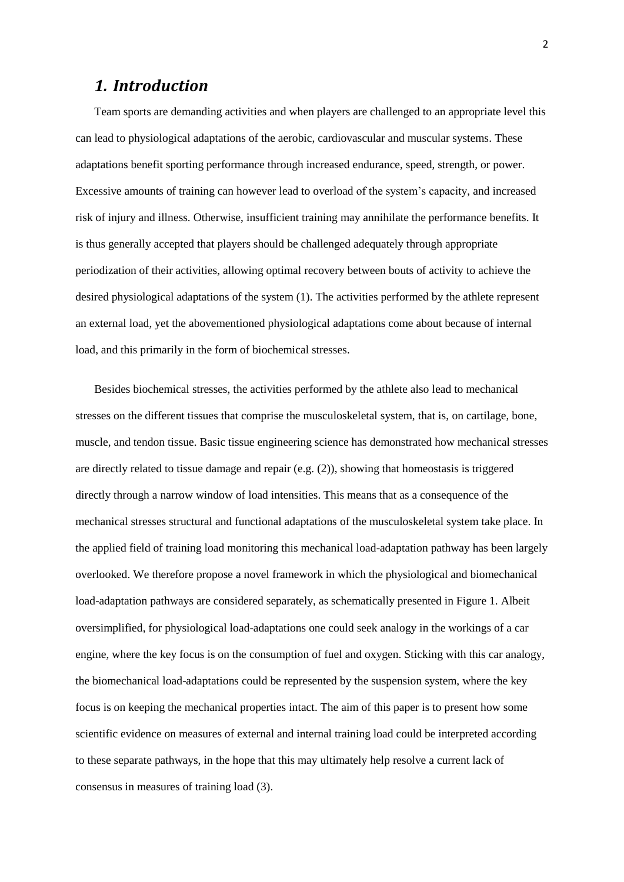### *1. Introduction*

Team sports are demanding activities and when players are challenged to an appropriate level this can lead to physiological adaptations of the aerobic, cardiovascular and muscular systems. These adaptations benefit sporting performance through increased endurance, speed, strength, or power. Excessive amounts of training can however lead to overload of the system's capacity, and increased risk of injury and illness. Otherwise, insufficient training may annihilate the performance benefits. It is thus generally accepted that players should be challenged adequately through appropriate periodization of their activities, allowing optimal recovery between bouts of activity to achieve the desired physiological adaptations of the system (1). The activities performed by the athlete represent an external load, yet the abovementioned physiological adaptations come about because of internal load, and this primarily in the form of biochemical stresses.

Besides biochemical stresses, the activities performed by the athlete also lead to mechanical stresses on the different tissues that comprise the musculoskeletal system, that is, on cartilage, bone, muscle, and tendon tissue. Basic tissue engineering science has demonstrated how mechanical stresses are directly related to tissue damage and repair (e.g. (2)), showing that homeostasis is triggered directly through a narrow window of load intensities. This means that as a consequence of the mechanical stresses structural and functional adaptations of the musculoskeletal system take place. In the applied field of training load monitoring this mechanical load-adaptation pathway has been largely overlooked. We therefore propose a novel framework in which the physiological and biomechanical load-adaptation pathways are considered separately, as schematically presented in Figure 1. Albeit oversimplified, for physiological load-adaptations one could seek analogy in the workings of a car engine, where the key focus is on the consumption of fuel and oxygen. Sticking with this car analogy, the biomechanical load-adaptations could be represented by the suspension system, where the key focus is on keeping the mechanical properties intact. The aim of this paper is to present how some scientific evidence on measures of external and internal training load could be interpreted according to these separate pathways, in the hope that this may ultimately help resolve a current lack of consensus in measures of training load (3).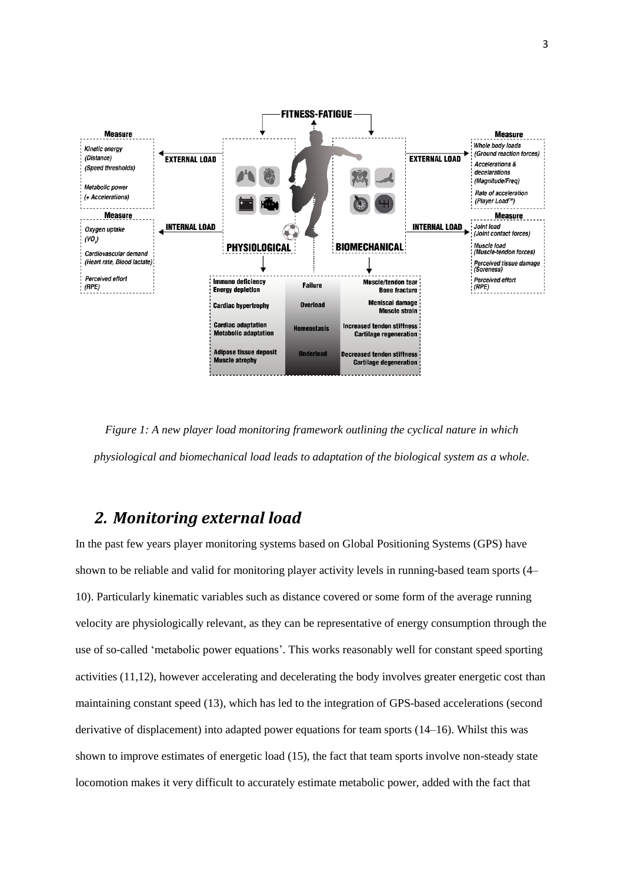

*Figure 1: A new player load monitoring framework outlining the cyclical nature in which physiological and biomechanical load leads to adaptation of the biological system as a whole.*

### *2. Monitoring external load*

In the past few years player monitoring systems based on Global Positioning Systems (GPS) have shown to be reliable and valid for monitoring player activity levels in running-based team sports (4– 10). Particularly kinematic variables such as distance covered or some form of the average running velocity are physiologically relevant, as they can be representative of energy consumption through the use of so-called 'metabolic power equations'. This works reasonably well for constant speed sporting activities (11,12), however accelerating and decelerating the body involves greater energetic cost than maintaining constant speed (13), which has led to the integration of GPS-based accelerations (second derivative of displacement) into adapted power equations for team sports (14–16). Whilst this was shown to improve estimates of energetic load (15), the fact that team sports involve non-steady state locomotion makes it very difficult to accurately estimate metabolic power, added with the fact that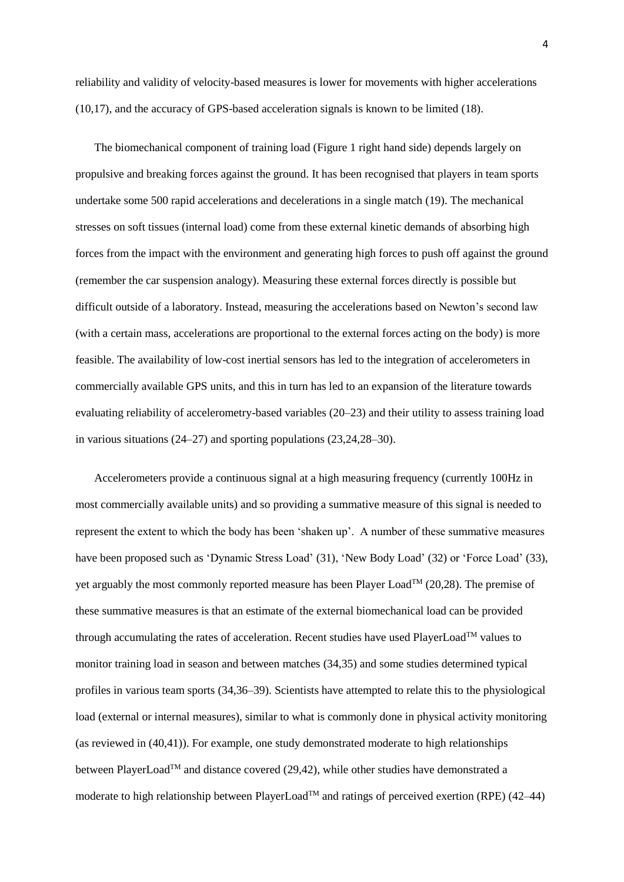reliability and validity of velocity-based measures is lower for movements with higher accelerations (10,17), and the accuracy of GPS-based acceleration signals is known to be limited (18).

The biomechanical component of training load (Figure 1 right hand side) depends largely on propulsive and breaking forces against the ground. It has been recognised that players in team sports undertake some 500 rapid accelerations and decelerations in a single match (19). The mechanical stresses on soft tissues (internal load) come from these external kinetic demands of absorbing high forces from the impact with the environment and generating high forces to push off against the ground (remember the car suspension analogy). Measuring these external forces directly is possible but difficult outside of a laboratory. Instead, measuring the accelerations based on Newton's second law (with a certain mass, accelerations are proportional to the external forces acting on the body) is more feasible. The availability of low-cost inertial sensors has led to the integration of accelerometers in commercially available GPS units, and this in turn has led to an expansion of the literature towards evaluating reliability of accelerometry-based variables (20–23) and their utility to assess training load in various situations (24–27) and sporting populations (23,24,28–30).

Accelerometers provide a continuous signal at a high measuring frequency (currently 100Hz in most commercially available units) and so providing a summative measure of this signal is needed to represent the extent to which the body has been 'shaken up'. A number of these summative measures have been proposed such as 'Dynamic Stress Load' (31), 'New Body Load' (32) or 'Force Load' (33), yet arguably the most commonly reported measure has been Player Load<sup>TM</sup> (20,28). The premise of these summative measures is that an estimate of the external biomechanical load can be provided through accumulating the rates of acceleration. Recent studies have used PlayerLoad<sup>TM</sup> values to monitor training load in season and between matches (34,35) and some studies determined typical profiles in various team sports (34,36–39). Scientists have attempted to relate this to the physiological load (external or internal measures), similar to what is commonly done in physical activity monitoring (as reviewed in (40,41)). For example, one study demonstrated moderate to high relationships between PlayerLoad<sup>TM</sup> and distance covered (29,42), while other studies have demonstrated a moderate to high relationship between PlayerLoad<sup>TM</sup> and ratings of perceived exertion (RPE) (42–44)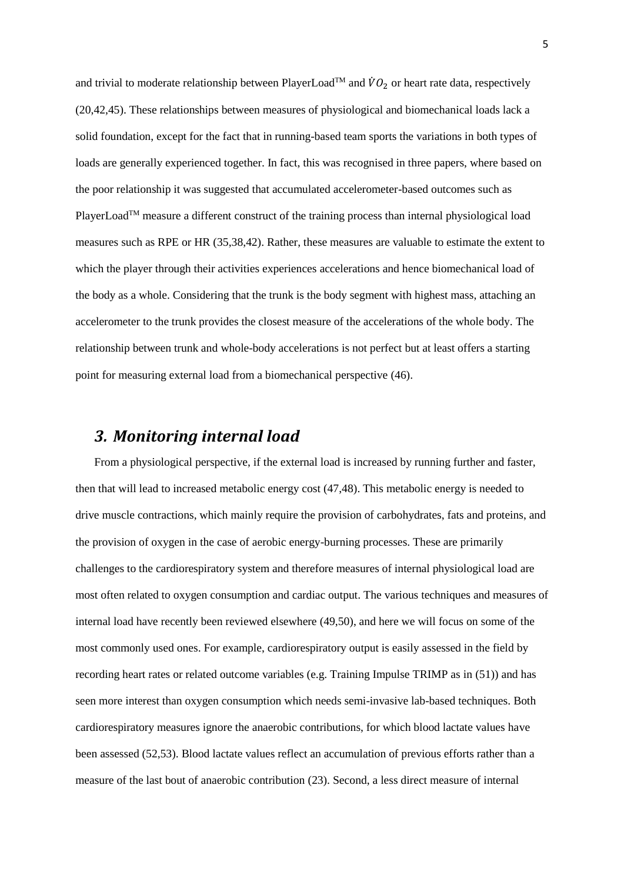and trivial to moderate relationship between PlayerLoad<sup>TM</sup> and  $\dot{V}O_2$  or heart rate data, respectively (20,42,45). These relationships between measures of physiological and biomechanical loads lack a solid foundation, except for the fact that in running-based team sports the variations in both types of loads are generally experienced together. In fact, this was recognised in three papers, where based on the poor relationship it was suggested that accumulated accelerometer-based outcomes such as PlayerLoad<sup>TM</sup> measure a different construct of the training process than internal physiological load measures such as RPE or HR (35,38,42). Rather, these measures are valuable to estimate the extent to which the player through their activities experiences accelerations and hence biomechanical load of the body as a whole. Considering that the trunk is the body segment with highest mass, attaching an accelerometer to the trunk provides the closest measure of the accelerations of the whole body. The relationship between trunk and whole-body accelerations is not perfect but at least offers a starting point for measuring external load from a biomechanical perspective (46).

## *3. Monitoring internal load*

From a physiological perspective, if the external load is increased by running further and faster, then that will lead to increased metabolic energy cost (47,48). This metabolic energy is needed to drive muscle contractions, which mainly require the provision of carbohydrates, fats and proteins, and the provision of oxygen in the case of aerobic energy-burning processes. These are primarily challenges to the cardiorespiratory system and therefore measures of internal physiological load are most often related to oxygen consumption and cardiac output. The various techniques and measures of internal load have recently been reviewed elsewhere (49,50), and here we will focus on some of the most commonly used ones. For example, cardiorespiratory output is easily assessed in the field by recording heart rates or related outcome variables (e.g. Training Impulse TRIMP as in (51)) and has seen more interest than oxygen consumption which needs semi-invasive lab-based techniques. Both cardiorespiratory measures ignore the anaerobic contributions, for which blood lactate values have been assessed (52,53). Blood lactate values reflect an accumulation of previous efforts rather than a measure of the last bout of anaerobic contribution (23). Second, a less direct measure of internal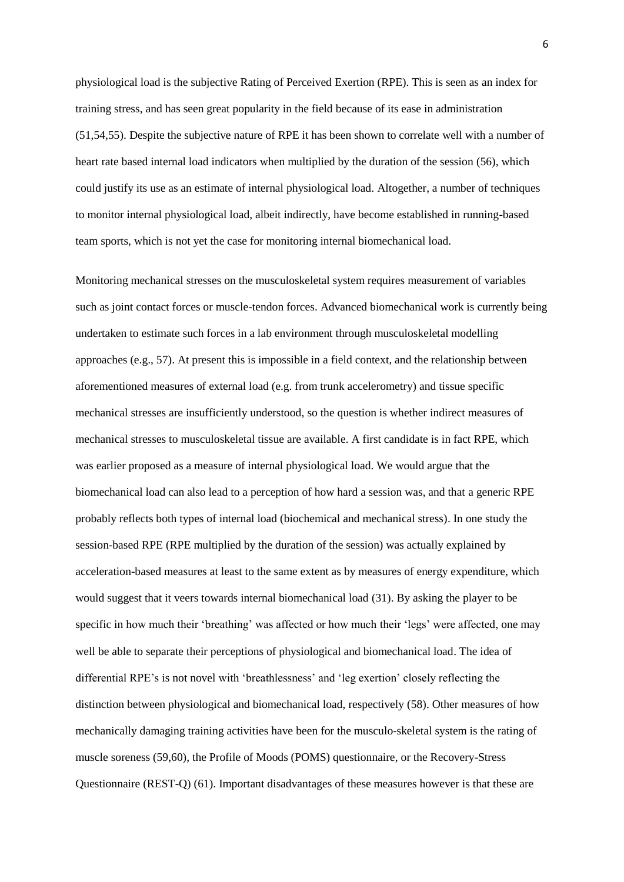physiological load is the subjective Rating of Perceived Exertion (RPE). This is seen as an index for training stress, and has seen great popularity in the field because of its ease in administration (51,54,55). Despite the subjective nature of RPE it has been shown to correlate well with a number of heart rate based internal load indicators when multiplied by the duration of the session (56), which could justify its use as an estimate of internal physiological load. Altogether, a number of techniques to monitor internal physiological load, albeit indirectly, have become established in running-based team sports, which is not yet the case for monitoring internal biomechanical load.

Monitoring mechanical stresses on the musculoskeletal system requires measurement of variables such as joint contact forces or muscle-tendon forces. Advanced biomechanical work is currently being undertaken to estimate such forces in a lab environment through musculoskeletal modelling approaches (e.g., 57). At present this is impossible in a field context, and the relationship between aforementioned measures of external load (e.g. from trunk accelerometry) and tissue specific mechanical stresses are insufficiently understood, so the question is whether indirect measures of mechanical stresses to musculoskeletal tissue are available. A first candidate is in fact RPE, which was earlier proposed as a measure of internal physiological load. We would argue that the biomechanical load can also lead to a perception of how hard a session was, and that a generic RPE probably reflects both types of internal load (biochemical and mechanical stress). In one study the session-based RPE (RPE multiplied by the duration of the session) was actually explained by acceleration-based measures at least to the same extent as by measures of energy expenditure, which would suggest that it veers towards internal biomechanical load (31). By asking the player to be specific in how much their 'breathing' was affected or how much their 'legs' were affected, one may well be able to separate their perceptions of physiological and biomechanical load. The idea of differential RPE's is not novel with 'breathlessness' and 'leg exertion' closely reflecting the distinction between physiological and biomechanical load, respectively (58). Other measures of how mechanically damaging training activities have been for the musculo-skeletal system is the rating of muscle soreness (59,60), the Profile of Moods (POMS) questionnaire, or the Recovery-Stress Questionnaire (REST-Q) (61). Important disadvantages of these measures however is that these are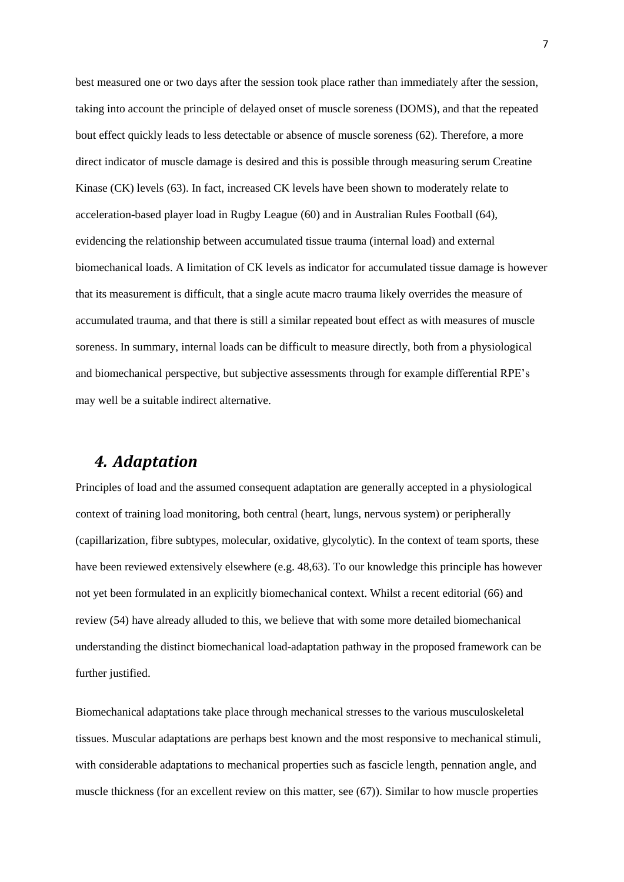best measured one or two days after the session took place rather than immediately after the session, taking into account the principle of delayed onset of muscle soreness (DOMS), and that the repeated bout effect quickly leads to less detectable or absence of muscle soreness (62). Therefore, a more direct indicator of muscle damage is desired and this is possible through measuring serum Creatine Kinase (CK) levels (63). In fact, increased CK levels have been shown to moderately relate to acceleration-based player load in Rugby League (60) and in Australian Rules Football (64), evidencing the relationship between accumulated tissue trauma (internal load) and external biomechanical loads. A limitation of CK levels as indicator for accumulated tissue damage is however that its measurement is difficult, that a single acute macro trauma likely overrides the measure of accumulated trauma, and that there is still a similar repeated bout effect as with measures of muscle soreness. In summary, internal loads can be difficult to measure directly, both from a physiological and biomechanical perspective, but subjective assessments through for example differential RPE's may well be a suitable indirect alternative.

## *4. Adaptation*

Principles of load and the assumed consequent adaptation are generally accepted in a physiological context of training load monitoring, both central (heart, lungs, nervous system) or peripherally (capillarization, fibre subtypes, molecular, oxidative, glycolytic). In the context of team sports, these have been reviewed extensively elsewhere (e.g. 48,63). To our knowledge this principle has however not yet been formulated in an explicitly biomechanical context. Whilst a recent editorial (66) and review (54) have already alluded to this, we believe that with some more detailed biomechanical understanding the distinct biomechanical load-adaptation pathway in the proposed framework can be further justified.

Biomechanical adaptations take place through mechanical stresses to the various musculoskeletal tissues. Muscular adaptations are perhaps best known and the most responsive to mechanical stimuli, with considerable adaptations to mechanical properties such as fascicle length, pennation angle, and muscle thickness (for an excellent review on this matter, see (67)). Similar to how muscle properties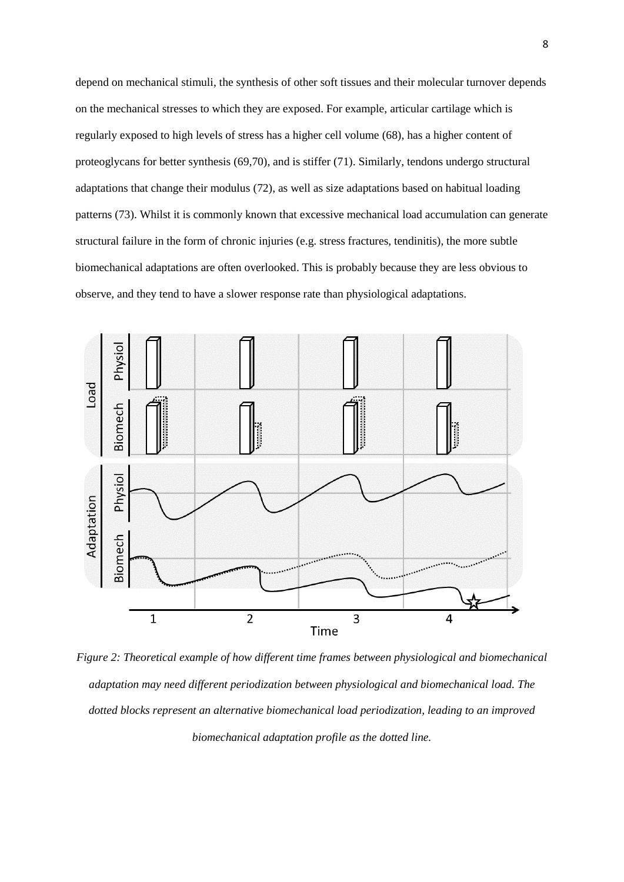depend on mechanical stimuli, the synthesis of other soft tissues and their molecular turnover depends on the mechanical stresses to which they are exposed. For example, articular cartilage which is regularly exposed to high levels of stress has a higher cell volume (68), has a higher content of proteoglycans for better synthesis (69,70), and is stiffer (71). Similarly, tendons undergo structural adaptations that change their modulus (72), as well as size adaptations based on habitual loading patterns (73). Whilst it is commonly known that excessive mechanical load accumulation can generate structural failure in the form of chronic injuries (e.g. stress fractures, tendinitis), the more subtle biomechanical adaptations are often overlooked. This is probably because they are less obvious to observe, and they tend to have a slower response rate than physiological adaptations.



*Figure 2: Theoretical example of how different time frames between physiological and biomechanical adaptation may need different periodization between physiological and biomechanical load. The dotted blocks represent an alternative biomechanical load periodization, leading to an improved biomechanical adaptation profile as the dotted line.*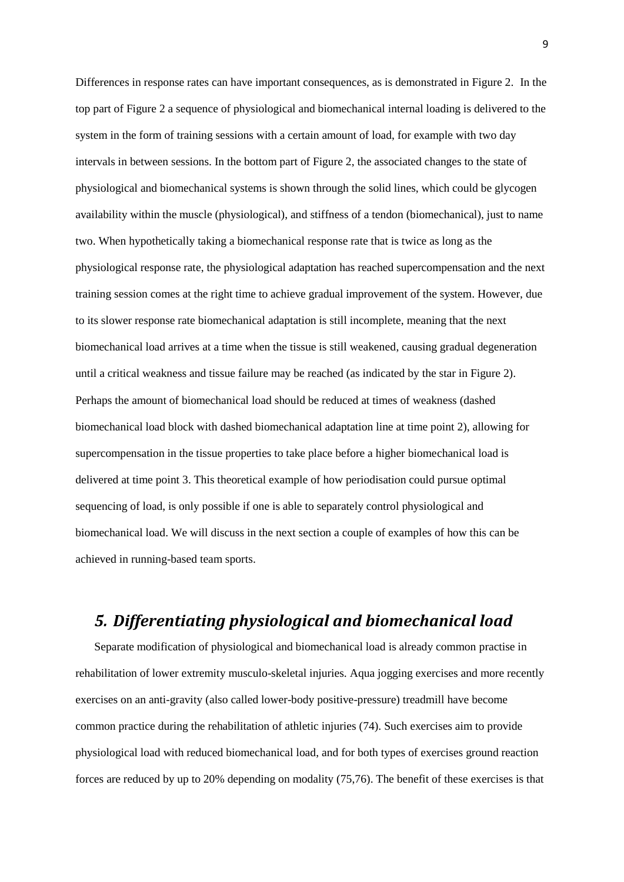Differences in response rates can have important consequences, as is demonstrated in Figure 2. In the top part of Figure 2 a sequence of physiological and biomechanical internal loading is delivered to the system in the form of training sessions with a certain amount of load, for example with two day intervals in between sessions. In the bottom part of Figure 2, the associated changes to the state of physiological and biomechanical systems is shown through the solid lines, which could be glycogen availability within the muscle (physiological), and stiffness of a tendon (biomechanical), just to name two. When hypothetically taking a biomechanical response rate that is twice as long as the physiological response rate, the physiological adaptation has reached supercompensation and the next training session comes at the right time to achieve gradual improvement of the system. However, due to its slower response rate biomechanical adaptation is still incomplete, meaning that the next biomechanical load arrives at a time when the tissue is still weakened, causing gradual degeneration until a critical weakness and tissue failure may be reached (as indicated by the star in Figure 2). Perhaps the amount of biomechanical load should be reduced at times of weakness (dashed biomechanical load block with dashed biomechanical adaptation line at time point 2), allowing for supercompensation in the tissue properties to take place before a higher biomechanical load is delivered at time point 3. This theoretical example of how periodisation could pursue optimal sequencing of load, is only possible if one is able to separately control physiological and biomechanical load. We will discuss in the next section a couple of examples of how this can be achieved in running-based team sports.

# *5. Differentiating physiological and biomechanical load*

Separate modification of physiological and biomechanical load is already common practise in rehabilitation of lower extremity musculo-skeletal injuries. Aqua jogging exercises and more recently exercises on an anti-gravity (also called lower-body positive-pressure) treadmill have become common practice during the rehabilitation of athletic injuries (74). Such exercises aim to provide physiological load with reduced biomechanical load, and for both types of exercises ground reaction forces are reduced by up to 20% depending on modality (75,76). The benefit of these exercises is that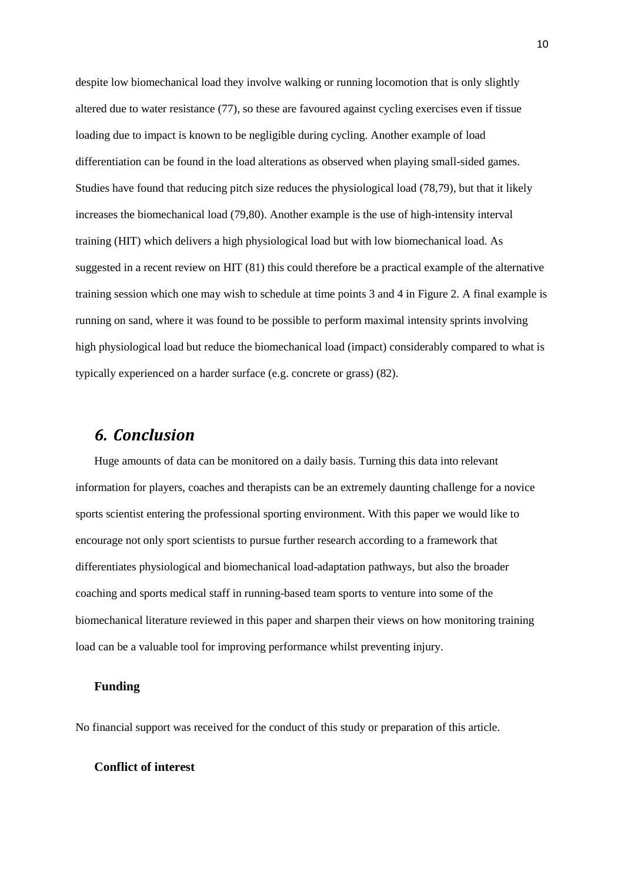despite low biomechanical load they involve walking or running locomotion that is only slightly altered due to water resistance (77), so these are favoured against cycling exercises even if tissue loading due to impact is known to be negligible during cycling. Another example of load differentiation can be found in the load alterations as observed when playing small-sided games. Studies have found that reducing pitch size reduces the physiological load (78,79), but that it likely increases the biomechanical load (79,80). Another example is the use of high-intensity interval training (HIT) which delivers a high physiological load but with low biomechanical load. As suggested in a recent review on HIT (81) this could therefore be a practical example of the alternative training session which one may wish to schedule at time points 3 and 4 in Figure 2. A final example is running on sand, where it was found to be possible to perform maximal intensity sprints involving high physiological load but reduce the biomechanical load (impact) considerably compared to what is typically experienced on a harder surface (e.g. concrete or grass) (82).

### *6. Conclusion*

Huge amounts of data can be monitored on a daily basis. Turning this data into relevant information for players, coaches and therapists can be an extremely daunting challenge for a novice sports scientist entering the professional sporting environment. With this paper we would like to encourage not only sport scientists to pursue further research according to a framework that differentiates physiological and biomechanical load-adaptation pathways, but also the broader coaching and sports medical staff in running-based team sports to venture into some of the biomechanical literature reviewed in this paper and sharpen their views on how monitoring training load can be a valuable tool for improving performance whilst preventing injury.

#### **Funding**

No financial support was received for the conduct of this study or preparation of this article.

#### **Conflict of interest**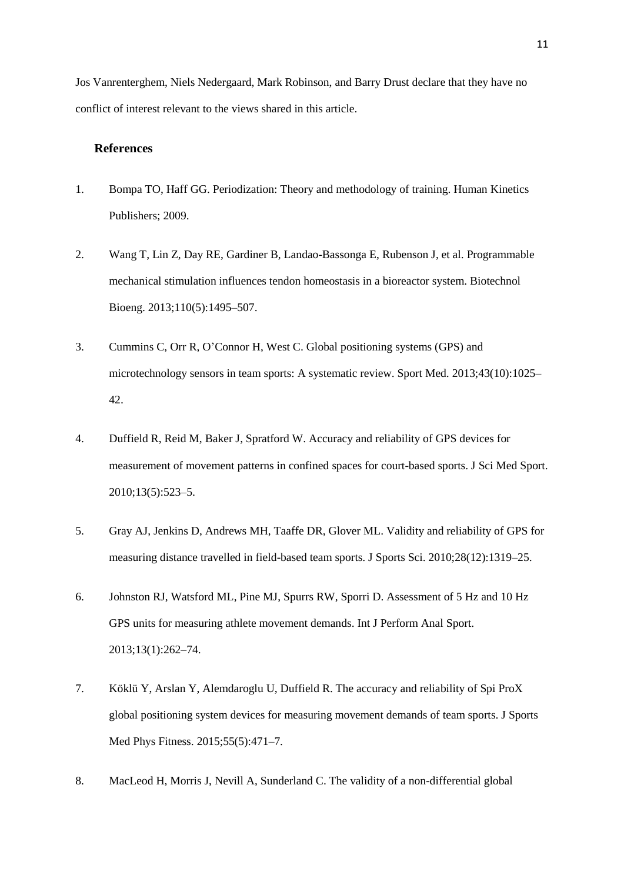Jos Vanrenterghem, Niels Nedergaard, Mark Robinson, and Barry Drust declare that they have no conflict of interest relevant to the views shared in this article.

### **References**

- 1. Bompa TO, Haff GG. Periodization: Theory and methodology of training. Human Kinetics Publishers; 2009.
- 2. Wang T, Lin Z, Day RE, Gardiner B, Landao-Bassonga E, Rubenson J, et al. Programmable mechanical stimulation influences tendon homeostasis in a bioreactor system. Biotechnol Bioeng. 2013;110(5):1495–507.
- 3. Cummins C, Orr R, O'Connor H, West C. Global positioning systems (GPS) and microtechnology sensors in team sports: A systematic review. Sport Med. 2013;43(10):1025– 42.
- 4. Duffield R, Reid M, Baker J, Spratford W. Accuracy and reliability of GPS devices for measurement of movement patterns in confined spaces for court-based sports. J Sci Med Sport. 2010;13(5):523–5.
- 5. Gray AJ, Jenkins D, Andrews MH, Taaffe DR, Glover ML. Validity and reliability of GPS for measuring distance travelled in field-based team sports. J Sports Sci. 2010;28(12):1319–25.
- 6. Johnston RJ, Watsford ML, Pine MJ, Spurrs RW, Sporri D. Assessment of 5 Hz and 10 Hz GPS units for measuring athlete movement demands. Int J Perform Anal Sport. 2013;13(1):262–74.
- 7. Köklü Y, Arslan Y, Alemdaroglu U, Duffield R. The accuracy and reliability of Spi ProX global positioning system devices for measuring movement demands of team sports. J Sports Med Phys Fitness. 2015;55(5):471–7.
- 8. MacLeod H, Morris J, Nevill A, Sunderland C. The validity of a non-differential global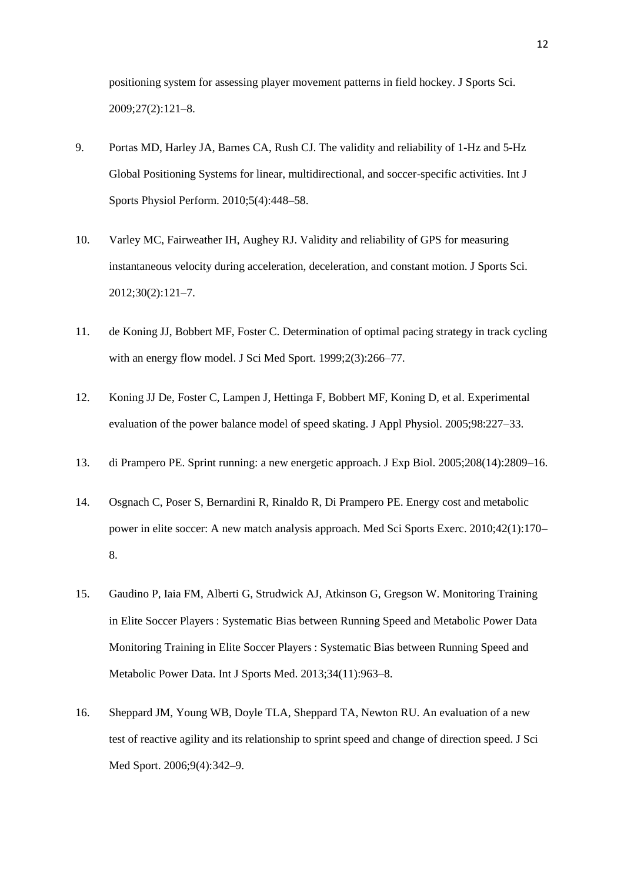positioning system for assessing player movement patterns in field hockey. J Sports Sci. 2009;27(2):121–8.

- 9. Portas MD, Harley JA, Barnes CA, Rush CJ. The validity and reliability of 1-Hz and 5-Hz Global Positioning Systems for linear, multidirectional, and soccer-specific activities. Int J Sports Physiol Perform. 2010;5(4):448–58.
- 10. Varley MC, Fairweather IH, Aughey RJ. Validity and reliability of GPS for measuring instantaneous velocity during acceleration, deceleration, and constant motion. J Sports Sci. 2012;30(2):121–7.
- 11. de Koning JJ, Bobbert MF, Foster C. Determination of optimal pacing strategy in track cycling with an energy flow model. J Sci Med Sport. 1999;2(3):266–77.
- 12. Koning JJ De, Foster C, Lampen J, Hettinga F, Bobbert MF, Koning D, et al. Experimental evaluation of the power balance model of speed skating. J Appl Physiol. 2005;98:227–33.
- 13. di Prampero PE. Sprint running: a new energetic approach. J Exp Biol. 2005;208(14):2809–16.
- 14. Osgnach C, Poser S, Bernardini R, Rinaldo R, Di Prampero PE. Energy cost and metabolic power in elite soccer: A new match analysis approach. Med Sci Sports Exerc. 2010;42(1):170– 8.
- 15. Gaudino P, Iaia FM, Alberti G, Strudwick AJ, Atkinson G, Gregson W. Monitoring Training in Elite Soccer Players : Systematic Bias between Running Speed and Metabolic Power Data Monitoring Training in Elite Soccer Players : Systematic Bias between Running Speed and Metabolic Power Data. Int J Sports Med. 2013;34(11):963–8.
- 16. Sheppard JM, Young WB, Doyle TLA, Sheppard TA, Newton RU. An evaluation of a new test of reactive agility and its relationship to sprint speed and change of direction speed. J Sci Med Sport. 2006;9(4):342–9.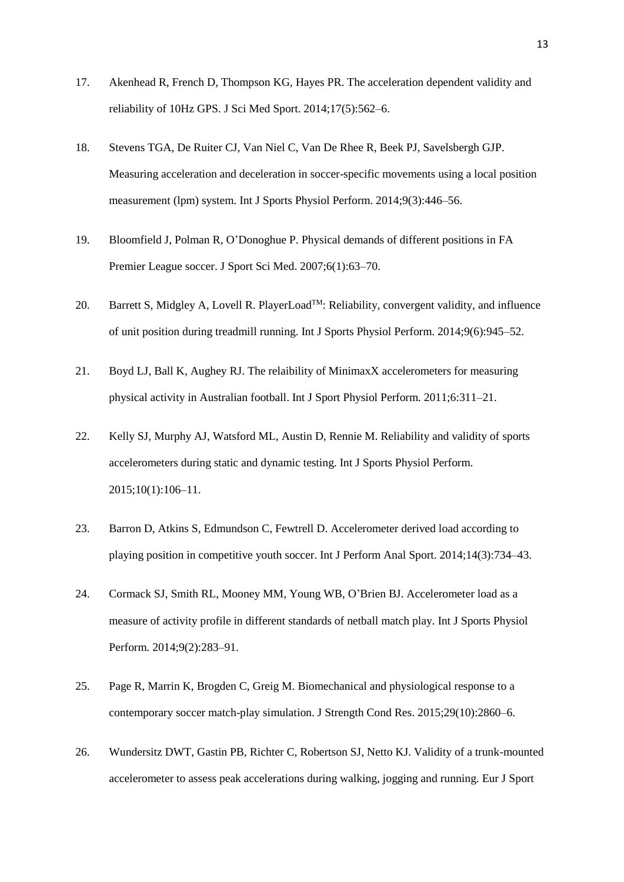- 17. Akenhead R, French D, Thompson KG, Hayes PR. The acceleration dependent validity and reliability of 10Hz GPS. J Sci Med Sport. 2014;17(5):562–6.
- 18. Stevens TGA, De Ruiter CJ, Van Niel C, Van De Rhee R, Beek PJ, Savelsbergh GJP. Measuring acceleration and deceleration in soccer-specific movements using a local position measurement (lpm) system. Int J Sports Physiol Perform. 2014;9(3):446–56.
- 19. Bloomfield J, Polman R, O'Donoghue P. Physical demands of different positions in FA Premier League soccer. J Sport Sci Med. 2007;6(1):63–70.
- 20. Barrett S, Midgley A, Lovell R. PlayerLoad<sup>TM</sup>: Reliability, convergent validity, and influence of unit position during treadmill running. Int J Sports Physiol Perform. 2014;9(6):945–52.
- 21. Boyd LJ, Ball K, Aughey RJ. The relaibility of MinimaxX accelerometers for measuring physical activity in Australian football. Int J Sport Physiol Perform. 2011;6:311–21.
- 22. Kelly SJ, Murphy AJ, Watsford ML, Austin D, Rennie M. Reliability and validity of sports accelerometers during static and dynamic testing. Int J Sports Physiol Perform. 2015;10(1):106–11.
- 23. Barron D, Atkins S, Edmundson C, Fewtrell D. Accelerometer derived load according to playing position in competitive youth soccer. Int J Perform Anal Sport. 2014;14(3):734–43.
- 24. Cormack SJ, Smith RL, Mooney MM, Young WB, O'Brien BJ. Accelerometer load as a measure of activity profile in different standards of netball match play. Int J Sports Physiol Perform. 2014;9(2):283–91.
- 25. Page R, Marrin K, Brogden C, Greig M. Biomechanical and physiological response to a contemporary soccer match-play simulation. J Strength Cond Res. 2015;29(10):2860–6.
- 26. Wundersitz DWT, Gastin PB, Richter C, Robertson SJ, Netto KJ. Validity of a trunk-mounted accelerometer to assess peak accelerations during walking, jogging and running. Eur J Sport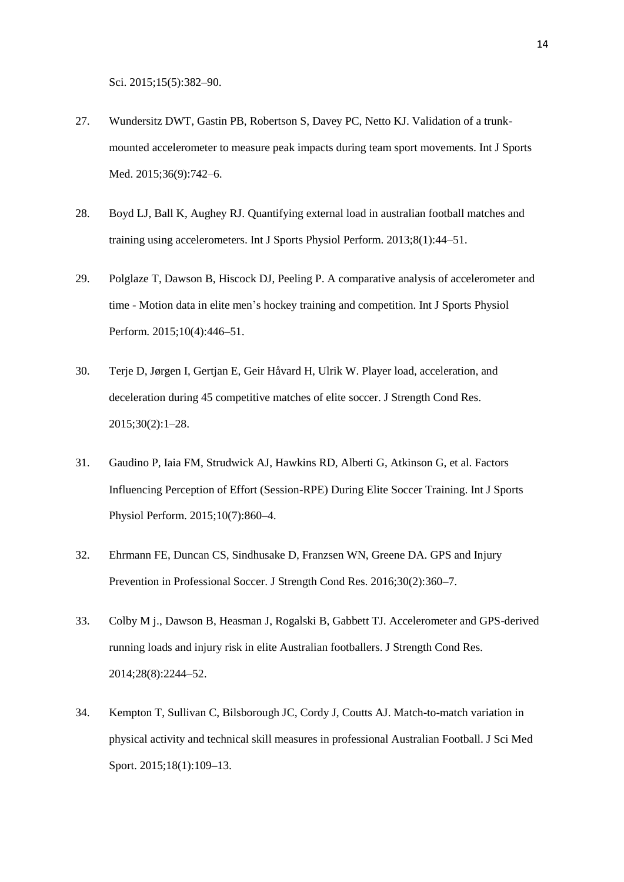Sci. 2015;15(5):382–90.

- 27. Wundersitz DWT, Gastin PB, Robertson S, Davey PC, Netto KJ. Validation of a trunkmounted accelerometer to measure peak impacts during team sport movements. Int J Sports Med. 2015;36(9):742–6.
- 28. Boyd LJ, Ball K, Aughey RJ. Quantifying external load in australian football matches and training using accelerometers. Int J Sports Physiol Perform. 2013;8(1):44–51.
- 29. Polglaze T, Dawson B, Hiscock DJ, Peeling P. A comparative analysis of accelerometer and time - Motion data in elite men's hockey training and competition. Int J Sports Physiol Perform. 2015;10(4):446–51.
- 30. Terje D, Jørgen I, Gertjan E, Geir Håvard H, Ulrik W. Player load, acceleration, and deceleration during 45 competitive matches of elite soccer. J Strength Cond Res. 2015;30(2):1–28.
- 31. Gaudino P, Iaia FM, Strudwick AJ, Hawkins RD, Alberti G, Atkinson G, et al. Factors Influencing Perception of Effort (Session-RPE) During Elite Soccer Training. Int J Sports Physiol Perform. 2015;10(7):860–4.
- 32. Ehrmann FE, Duncan CS, Sindhusake D, Franzsen WN, Greene DA. GPS and Injury Prevention in Professional Soccer. J Strength Cond Res. 2016;30(2):360–7.
- 33. Colby M j., Dawson B, Heasman J, Rogalski B, Gabbett TJ. Accelerometer and GPS-derived running loads and injury risk in elite Australian footballers. J Strength Cond Res. 2014;28(8):2244–52.
- 34. Kempton T, Sullivan C, Bilsborough JC, Cordy J, Coutts AJ. Match-to-match variation in physical activity and technical skill measures in professional Australian Football. J Sci Med Sport. 2015;18(1):109–13.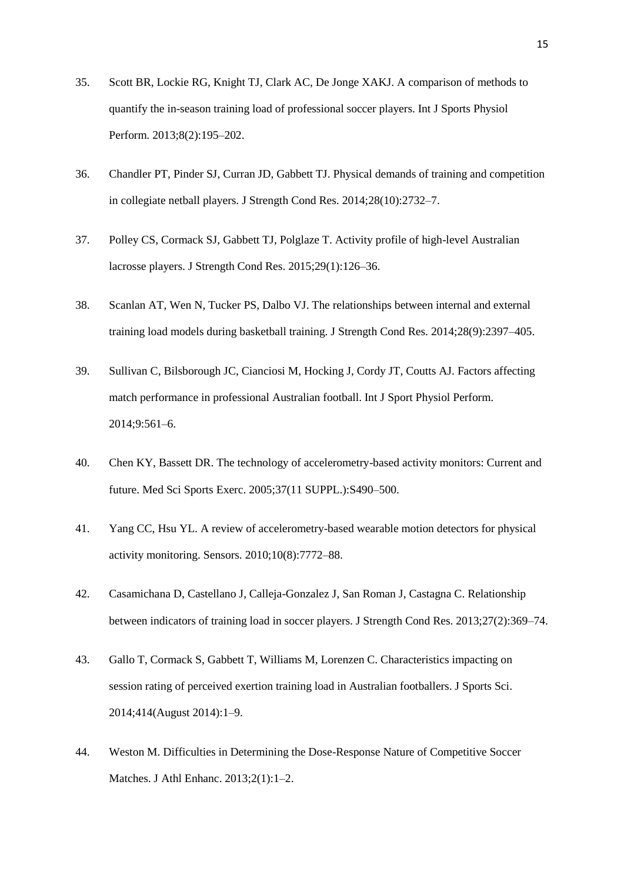- 35. Scott BR, Lockie RG, Knight TJ, Clark AC, De Jonge XAKJ. A comparison of methods to quantify the in-season training load of professional soccer players. Int J Sports Physiol Perform. 2013;8(2):195–202.
- 36. Chandler PT, Pinder SJ, Curran JD, Gabbett TJ. Physical demands of training and competition in collegiate netball players. J Strength Cond Res. 2014;28(10):2732–7.
- 37. Polley CS, Cormack SJ, Gabbett TJ, Polglaze T. Activity profile of high-level Australian lacrosse players. J Strength Cond Res. 2015;29(1):126–36.
- 38. Scanlan AT, Wen N, Tucker PS, Dalbo VJ. The relationships between internal and external training load models during basketball training. J Strength Cond Res. 2014;28(9):2397–405.
- 39. Sullivan C, Bilsborough JC, Cianciosi M, Hocking J, Cordy JT, Coutts AJ. Factors affecting match performance in professional Australian football. Int J Sport Physiol Perform. 2014;9:561–6.
- 40. Chen KY, Bassett DR. The technology of accelerometry-based activity monitors: Current and future. Med Sci Sports Exerc. 2005;37(11 SUPPL.):S490–500.
- 41. Yang CC, Hsu YL. A review of accelerometry-based wearable motion detectors for physical activity monitoring. Sensors. 2010;10(8):7772–88.
- 42. Casamichana D, Castellano J, Calleja-Gonzalez J, San Roman J, Castagna C. Relationship between indicators of training load in soccer players. J Strength Cond Res. 2013;27(2):369–74.
- 43. Gallo T, Cormack S, Gabbett T, Williams M, Lorenzen C. Characteristics impacting on session rating of perceived exertion training load in Australian footballers. J Sports Sci. 2014;414(August 2014):1–9.
- 44. Weston M. Difficulties in Determining the Dose-Response Nature of Competitive Soccer Matches. J Athl Enhanc. 2013;2(1):1–2.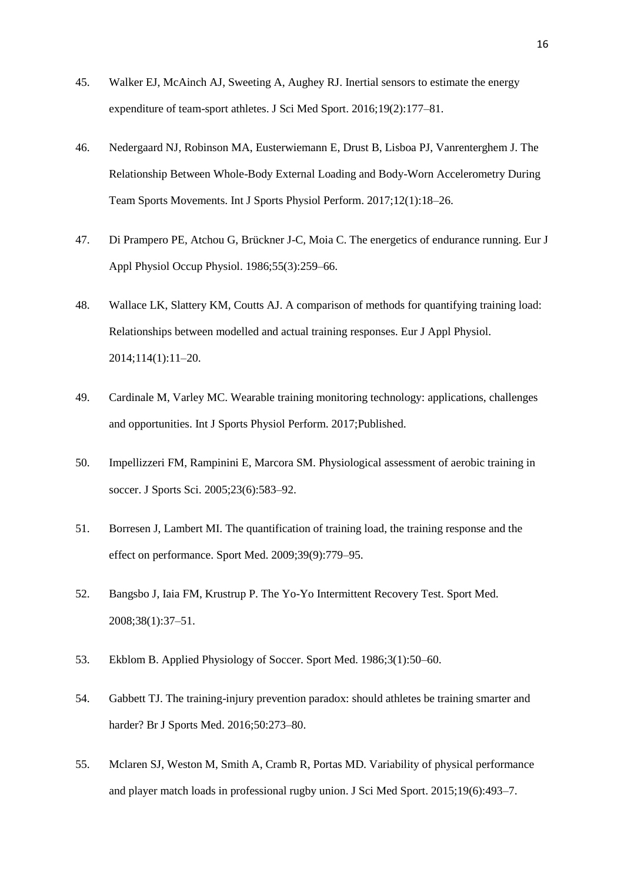- 45. Walker EJ, McAinch AJ, Sweeting A, Aughey RJ. Inertial sensors to estimate the energy expenditure of team-sport athletes. J Sci Med Sport. 2016;19(2):177–81.
- 46. Nedergaard NJ, Robinson MA, Eusterwiemann E, Drust B, Lisboa PJ, Vanrenterghem J. The Relationship Between Whole-Body External Loading and Body-Worn Accelerometry During Team Sports Movements. Int J Sports Physiol Perform. 2017;12(1):18–26.
- 47. Di Prampero PE, Atchou G, Brückner J-C, Moia C. The energetics of endurance running. Eur J Appl Physiol Occup Physiol. 1986;55(3):259–66.
- 48. Wallace LK, Slattery KM, Coutts AJ. A comparison of methods for quantifying training load: Relationships between modelled and actual training responses. Eur J Appl Physiol. 2014;114(1):11–20.
- 49. Cardinale M, Varley MC. Wearable training monitoring technology: applications, challenges and opportunities. Int J Sports Physiol Perform. 2017;Published.
- 50. Impellizzeri FM, Rampinini E, Marcora SM. Physiological assessment of aerobic training in soccer. J Sports Sci. 2005;23(6):583–92.
- 51. Borresen J, Lambert MI. The quantification of training load, the training response and the effect on performance. Sport Med. 2009;39(9):779–95.
- 52. Bangsbo J, Iaia FM, Krustrup P. The Yo-Yo Intermittent Recovery Test. Sport Med. 2008;38(1):37–51.
- 53. Ekblom B. Applied Physiology of Soccer. Sport Med. 1986;3(1):50–60.
- 54. Gabbett TJ. The training-injury prevention paradox: should athletes be training smarter and harder? Br J Sports Med. 2016;50:273–80.
- 55. Mclaren SJ, Weston M, Smith A, Cramb R, Portas MD. Variability of physical performance and player match loads in professional rugby union. J Sci Med Sport. 2015;19(6):493–7.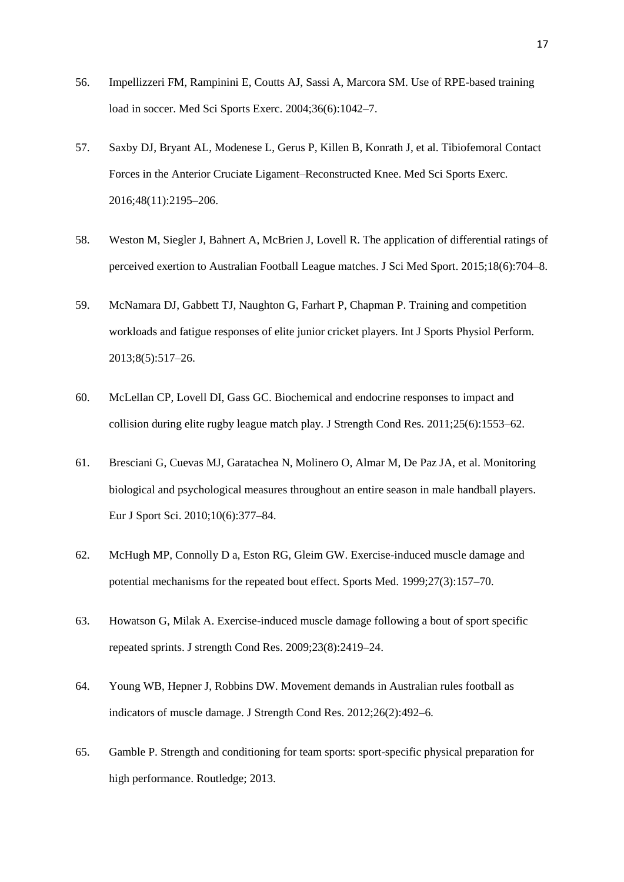- 56. Impellizzeri FM, Rampinini E, Coutts AJ, Sassi A, Marcora SM. Use of RPE-based training load in soccer. Med Sci Sports Exerc. 2004;36(6):1042–7.
- 57. Saxby DJ, Bryant AL, Modenese L, Gerus P, Killen B, Konrath J, et al. Tibiofemoral Contact Forces in the Anterior Cruciate Ligament–Reconstructed Knee. Med Sci Sports Exerc. 2016;48(11):2195–206.
- 58. Weston M, Siegler J, Bahnert A, McBrien J, Lovell R. The application of differential ratings of perceived exertion to Australian Football League matches. J Sci Med Sport. 2015;18(6):704–8.
- 59. McNamara DJ, Gabbett TJ, Naughton G, Farhart P, Chapman P. Training and competition workloads and fatigue responses of elite junior cricket players. Int J Sports Physiol Perform. 2013;8(5):517–26.
- 60. McLellan CP, Lovell DI, Gass GC. Biochemical and endocrine responses to impact and collision during elite rugby league match play. J Strength Cond Res. 2011;25(6):1553–62.
- 61. Bresciani G, Cuevas MJ, Garatachea N, Molinero O, Almar M, De Paz JA, et al. Monitoring biological and psychological measures throughout an entire season in male handball players. Eur J Sport Sci. 2010;10(6):377–84.
- 62. McHugh MP, Connolly D a, Eston RG, Gleim GW. Exercise-induced muscle damage and potential mechanisms for the repeated bout effect. Sports Med. 1999;27(3):157–70.
- 63. Howatson G, Milak A. Exercise-induced muscle damage following a bout of sport specific repeated sprints. J strength Cond Res. 2009;23(8):2419–24.
- 64. Young WB, Hepner J, Robbins DW. Movement demands in Australian rules football as indicators of muscle damage. J Strength Cond Res. 2012;26(2):492–6.
- 65. Gamble P. Strength and conditioning for team sports: sport-specific physical preparation for high performance. Routledge; 2013.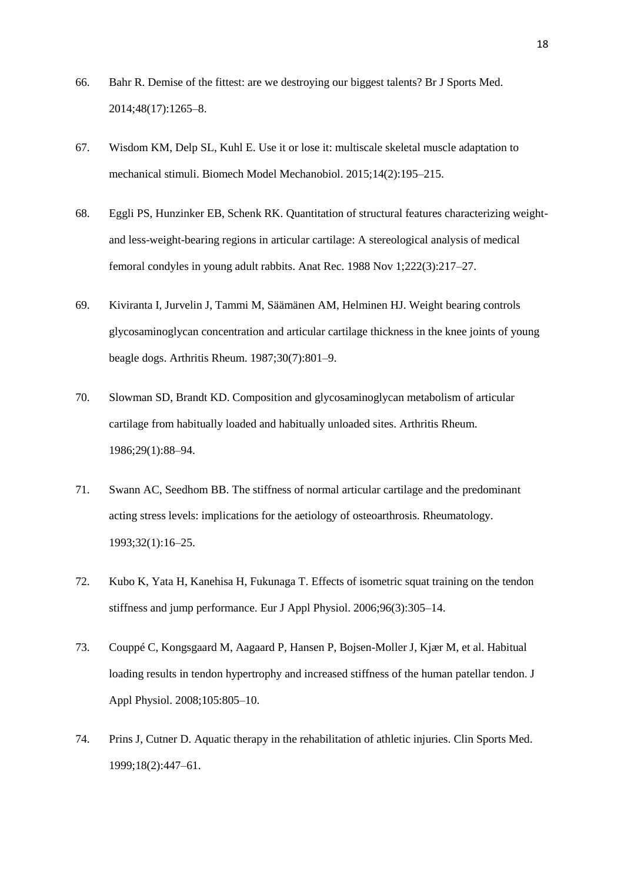- 66. Bahr R. Demise of the fittest: are we destroying our biggest talents? Br J Sports Med. 2014;48(17):1265–8.
- 67. Wisdom KM, Delp SL, Kuhl E. Use it or lose it: multiscale skeletal muscle adaptation to mechanical stimuli. Biomech Model Mechanobiol. 2015;14(2):195–215.
- 68. Eggli PS, Hunzinker EB, Schenk RK. Quantitation of structural features characterizing weightand less-weight-bearing regions in articular cartilage: A stereological analysis of medical femoral condyles in young adult rabbits. Anat Rec. 1988 Nov 1;222(3):217–27.
- 69. Kiviranta I, Jurvelin J, Tammi M, Säämänen AM, Helminen HJ. Weight bearing controls glycosaminoglycan concentration and articular cartilage thickness in the knee joints of young beagle dogs. Arthritis Rheum. 1987;30(7):801–9.
- 70. Slowman SD, Brandt KD. Composition and glycosaminoglycan metabolism of articular cartilage from habitually loaded and habitually unloaded sites. Arthritis Rheum. 1986;29(1):88–94.
- 71. Swann AC, Seedhom BB. The stiffness of normal articular cartilage and the predominant acting stress levels: implications for the aetiology of osteoarthrosis. Rheumatology. 1993;32(1):16–25.
- 72. Kubo K, Yata H, Kanehisa H, Fukunaga T. Effects of isometric squat training on the tendon stiffness and jump performance. Eur J Appl Physiol. 2006;96(3):305–14.
- 73. Couppé C, Kongsgaard M, Aagaard P, Hansen P, Bojsen-Moller J, Kjær M, et al. Habitual loading results in tendon hypertrophy and increased stiffness of the human patellar tendon. J Appl Physiol. 2008;105:805–10.
- 74. Prins J, Cutner D. Aquatic therapy in the rehabilitation of athletic injuries. Clin Sports Med. 1999;18(2):447–61.